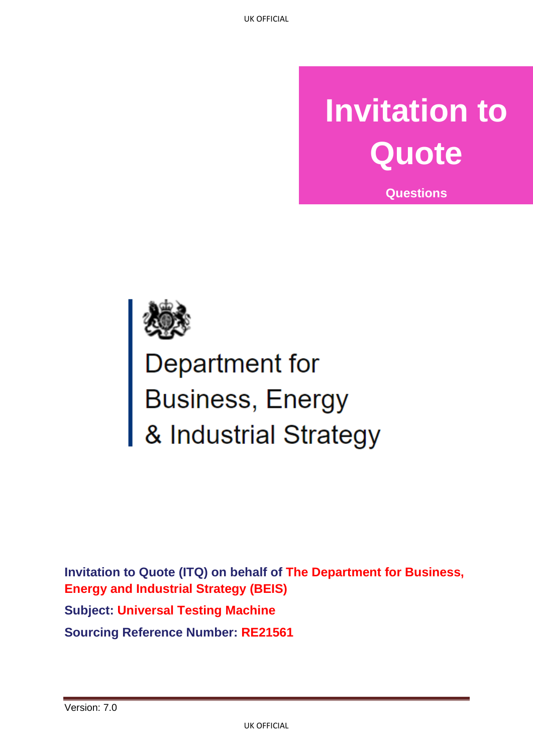## **Invitation to Quote**

**Questions**



# Department for<br>Business, Energy<br>& Industrial Strategy

**Invitation to Quote (ITQ) on behalf of The Department for Business, Energy and Industrial Strategy (BEIS) Subject: Universal Testing Machine**

**Sourcing Reference Number: RE21561**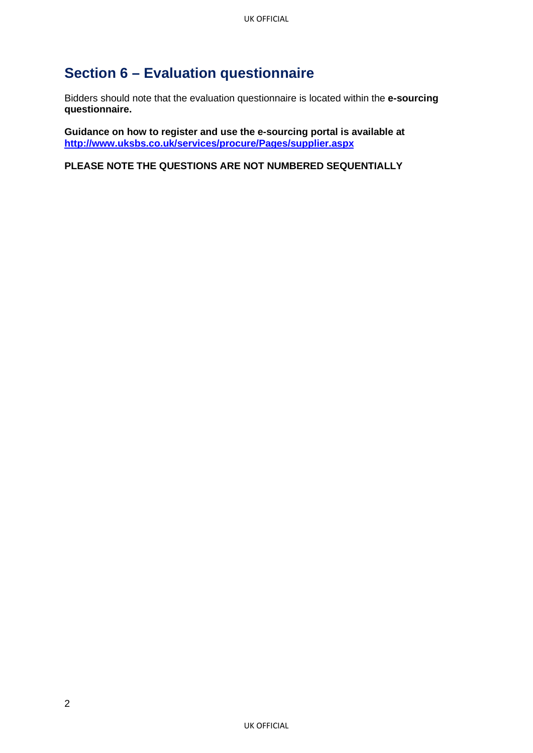### **Section 6 – Evaluation questionnaire**

Bidders should note that the evaluation questionnaire is located within the **e-sourcing questionnaire.**

**Guidance on how to register and use the e-sourcing portal is available at <http://www.uksbs.co.uk/services/procure/Pages/supplier.aspx>**

**PLEASE NOTE THE QUESTIONS ARE NOT NUMBERED SEQUENTIALLY**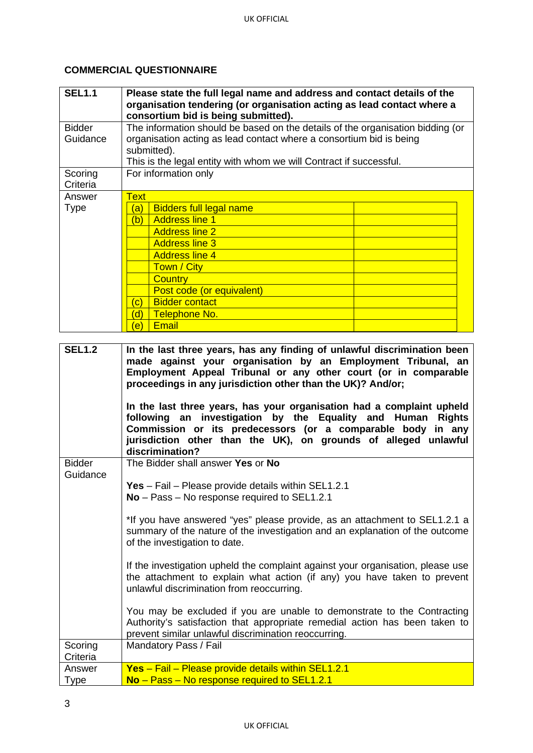#### **COMMERCIAL QUESTIONNAIRE**

| <b>SEL1.1</b>             | Please state the full legal name and address and contact details of the<br>organisation tendering (or organisation acting as lead contact where a<br>consortium bid is being submitted).                                                   |
|---------------------------|--------------------------------------------------------------------------------------------------------------------------------------------------------------------------------------------------------------------------------------------|
| <b>Bidder</b><br>Guidance | The information should be based on the details of the organisation bidding (or<br>organisation acting as lead contact where a consortium bid is being<br>submitted).<br>This is the legal entity with whom we will Contract if successful. |
| Scoring<br>Criteria       | For information only                                                                                                                                                                                                                       |
| Answer                    | <b>Text</b>                                                                                                                                                                                                                                |
| Type                      | <b>Bidders full legal name</b><br>(a)                                                                                                                                                                                                      |
|                           | <b>Address line 1</b><br>(b)                                                                                                                                                                                                               |
|                           | <b>Address line 2</b>                                                                                                                                                                                                                      |
|                           | <b>Address line 3</b>                                                                                                                                                                                                                      |
|                           | <b>Address line 4</b>                                                                                                                                                                                                                      |
|                           | Town / City                                                                                                                                                                                                                                |
|                           | Country                                                                                                                                                                                                                                    |
|                           | Post code (or equivalent)                                                                                                                                                                                                                  |
|                           | <b>Bidder contact</b><br>$\left( \mathbf{c}\right)$                                                                                                                                                                                        |
|                           | Telephone No.<br>(d)                                                                                                                                                                                                                       |
|                           | <b>Email</b><br>$\epsilon$                                                                                                                                                                                                                 |

| <b>SEL1.2</b>         | In the last three years, has any finding of unlawful discrimination been<br>made against your organisation by an Employment Tribunal, an<br>Employment Appeal Tribunal or any other court (or in comparable<br>proceedings in any jurisdiction other than the UK)? And/or;<br>In the last three years, has your organisation had a complaint upheld<br>following an investigation by the Equality and Human<br><b>Rights</b><br>Commission or its predecessors (or a comparable body in any<br>jurisdiction other than the UK), on grounds of alleged unlawful<br>discrimination? |
|-----------------------|-----------------------------------------------------------------------------------------------------------------------------------------------------------------------------------------------------------------------------------------------------------------------------------------------------------------------------------------------------------------------------------------------------------------------------------------------------------------------------------------------------------------------------------------------------------------------------------|
| <b>Bidder</b>         | The Bidder shall answer Yes or No                                                                                                                                                                                                                                                                                                                                                                                                                                                                                                                                                 |
| Guidance              | Yes - Fail - Please provide details within SEL1.2.1<br>No - Pass - No response required to SEL1.2.1                                                                                                                                                                                                                                                                                                                                                                                                                                                                               |
|                       | *If you have answered "yes" please provide, as an attachment to SEL1.2.1 a<br>summary of the nature of the investigation and an explanation of the outcome<br>of the investigation to date.                                                                                                                                                                                                                                                                                                                                                                                       |
|                       | If the investigation upheld the complaint against your organisation, please use<br>the attachment to explain what action (if any) you have taken to prevent<br>unlawful discrimination from reoccurring.                                                                                                                                                                                                                                                                                                                                                                          |
|                       | You may be excluded if you are unable to demonstrate to the Contracting<br>Authority's satisfaction that appropriate remedial action has been taken to<br>prevent similar unlawful discrimination reoccurring.                                                                                                                                                                                                                                                                                                                                                                    |
| Scoring<br>Criteria   | Mandatory Pass / Fail                                                                                                                                                                                                                                                                                                                                                                                                                                                                                                                                                             |
| Answer<br><b>Type</b> | Yes - Fail - Please provide details within SEL1.2.1<br>No - Pass - No response required to SEL1.2.1                                                                                                                                                                                                                                                                                                                                                                                                                                                                               |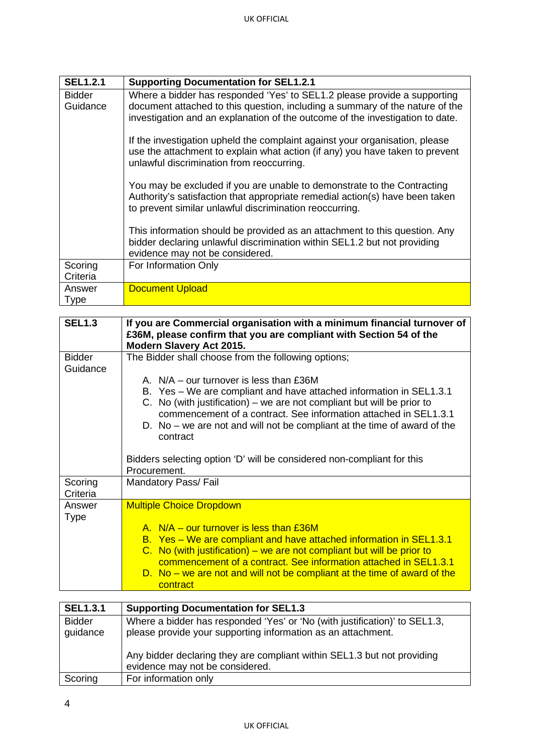| <b>SEL1.2.1</b>           | <b>Supporting Documentation for SEL1.2.1</b>                                                                                                                                                                                              |
|---------------------------|-------------------------------------------------------------------------------------------------------------------------------------------------------------------------------------------------------------------------------------------|
| <b>Bidder</b><br>Guidance | Where a bidder has responded 'Yes' to SEL1.2 please provide a supporting<br>document attached to this question, including a summary of the nature of the<br>investigation and an explanation of the outcome of the investigation to date. |
|                           | If the investigation upheld the complaint against your organisation, please<br>use the attachment to explain what action (if any) you have taken to prevent<br>unlawful discrimination from reoccurring.                                  |
|                           | You may be excluded if you are unable to demonstrate to the Contracting<br>Authority's satisfaction that appropriate remedial action(s) have been taken<br>to prevent similar unlawful discrimination reoccurring.                        |
|                           | This information should be provided as an attachment to this question. Any<br>bidder declaring unlawful discrimination within SEL1.2 but not providing<br>evidence may not be considered.                                                 |
| Scoring                   | For Information Only                                                                                                                                                                                                                      |
| Criteria                  |                                                                                                                                                                                                                                           |
| Answer                    | <b>Document Upload</b>                                                                                                                                                                                                                    |
| <b>Type</b>               |                                                                                                                                                                                                                                           |

| <b>SEL1.3</b>             | If you are Commercial organisation with a minimum financial turnover of<br>£36M, please confirm that you are compliant with Section 54 of the<br>Modern Slavery Act 2015.                                                                                                                                                                                                                                       |
|---------------------------|-----------------------------------------------------------------------------------------------------------------------------------------------------------------------------------------------------------------------------------------------------------------------------------------------------------------------------------------------------------------------------------------------------------------|
| <b>Bidder</b><br>Guidance | The Bidder shall choose from the following options;<br>A. $N/A$ – our turnover is less than £36M<br>B. Yes - We are compliant and have attached information in SEL1.3.1<br>C. No (with justification) – we are not compliant but will be prior to<br>commencement of a contract. See information attached in SEL1.3.1<br>D. No $-$ we are not and will not be compliant at the time of award of the<br>contract |
|                           | Bidders selecting option 'D' will be considered non-compliant for this<br>Procurement.                                                                                                                                                                                                                                                                                                                          |
| Scoring<br>Criteria       | Mandatory Pass/Fail                                                                                                                                                                                                                                                                                                                                                                                             |
| Answer<br><b>Type</b>     | <b>Multiple Choice Dropdown</b><br>A. $N/A -$ our turnover is less than £36M<br>B. Yes - We are compliant and have attached information in SEL1.3.1<br>C. No (with justification) – we are not compliant but will be prior to<br>commencement of a contract. See information attached in SEL1.3.1<br>D. No – we are not and will not be compliant at the time of award of the<br>contract                       |
|                           |                                                                                                                                                                                                                                                                                                                                                                                                                 |

| <b>SEL1.3.1</b>           | <b>Supporting Documentation for SEL1.3</b>                                                                                                                                                                            |
|---------------------------|-----------------------------------------------------------------------------------------------------------------------------------------------------------------------------------------------------------------------|
| <b>Bidder</b><br>guidance | Where a bidder has responded 'Yes' or 'No (with justification)' to SEL1.3,<br>please provide your supporting information as an attachment.<br>Any bidder declaring they are compliant within SEL1.3 but not providing |
|                           | evidence may not be considered.                                                                                                                                                                                       |
| Scoring                   | For information only                                                                                                                                                                                                  |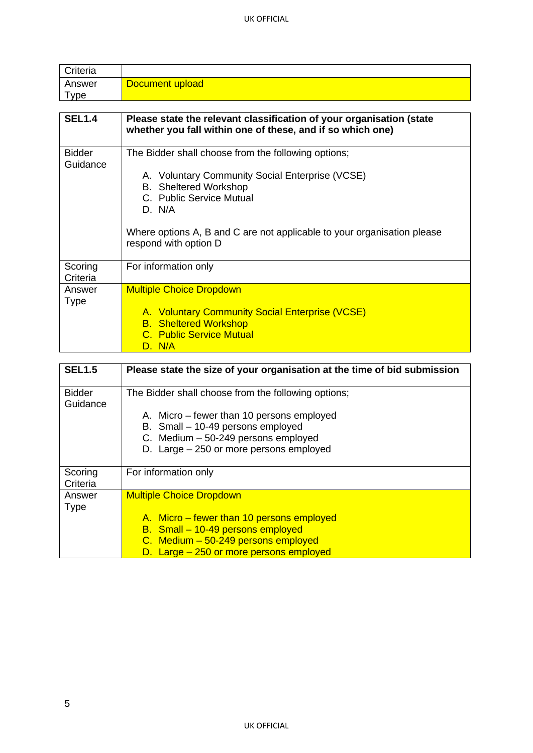| Criteria                  |                                                                                                                                    |
|---------------------------|------------------------------------------------------------------------------------------------------------------------------------|
| Answer<br><b>Type</b>     | Document upload                                                                                                                    |
|                           |                                                                                                                                    |
| <b>SEL1.4</b>             | Please state the relevant classification of your organisation (state<br>whether you fall within one of these, and if so which one) |
| <b>Bidder</b><br>Guidance | The Bidder shall choose from the following options;                                                                                |
|                           | A. Voluntary Community Social Enterprise (VCSE)<br><b>B.</b> Sheltered Workshop<br>C. Public Service Mutual<br>D. N/A              |
|                           | Where options A, B and C are not applicable to your organisation please<br>respond with option D                                   |
| Scoring<br>Criteria       | For information only                                                                                                               |
| Answer<br><b>Type</b>     | <b>Multiple Choice Dropdown</b>                                                                                                    |
|                           | A. Voluntary Community Social Enterprise (VCSE)<br><b>B.</b> Sheltered Workshop<br><b>C.</b> Public Service Mutual<br>D. N/A       |

| <b>SEL1.5</b>             | Please state the size of your organisation at the time of bid submission                                                                                                                                                |
|---------------------------|-------------------------------------------------------------------------------------------------------------------------------------------------------------------------------------------------------------------------|
| <b>Bidder</b><br>Guidance | The Bidder shall choose from the following options;<br>A. Micro – fewer than 10 persons employed<br>B. Small - 10-49 persons employed<br>C. Medium - 50-249 persons employed<br>D. Large - 250 or more persons employed |
|                           |                                                                                                                                                                                                                         |
| Scoring<br>Criteria       | For information only                                                                                                                                                                                                    |
| Answer<br><b>Type</b>     | <b>Multiple Choice Dropdown</b><br>A. Micro – fewer than 10 persons employed                                                                                                                                            |
|                           | B. Small - 10-49 persons employed<br>C. Medium - 50-249 persons employed<br>D. Large – 250 or more persons employed                                                                                                     |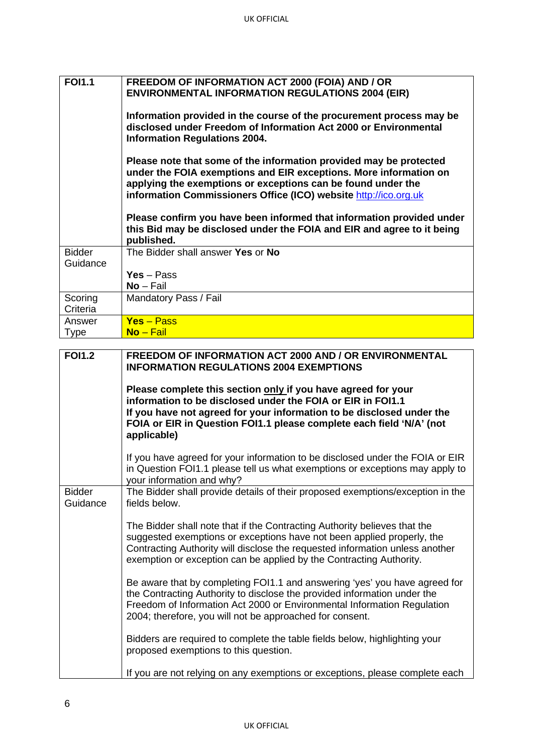| <b>FOI1.1</b>             | FREEDOM OF INFORMATION ACT 2000 (FOIA) AND / OR<br><b>ENVIRONMENTAL INFORMATION REGULATIONS 2004 (EIR)</b>                                                                                                                                                                                                 |
|---------------------------|------------------------------------------------------------------------------------------------------------------------------------------------------------------------------------------------------------------------------------------------------------------------------------------------------------|
|                           | Information provided in the course of the procurement process may be<br>disclosed under Freedom of Information Act 2000 or Environmental<br><b>Information Regulations 2004.</b>                                                                                                                           |
|                           | Please note that some of the information provided may be protected<br>under the FOIA exemptions and EIR exceptions. More information on<br>applying the exemptions or exceptions can be found under the<br>information Commissioners Office (ICO) website http://ico.org.uk                                |
|                           | Please confirm you have been informed that information provided under<br>this Bid may be disclosed under the FOIA and EIR and agree to it being<br>published.                                                                                                                                              |
| <b>Bidder</b>             | The Bidder shall answer Yes or No                                                                                                                                                                                                                                                                          |
| Guidance                  |                                                                                                                                                                                                                                                                                                            |
|                           | $Yes - Pass$<br>$No-Fail$                                                                                                                                                                                                                                                                                  |
| Scoring                   | Mandatory Pass / Fail                                                                                                                                                                                                                                                                                      |
| Criteria                  |                                                                                                                                                                                                                                                                                                            |
| Answer                    | $Yes - Pass$                                                                                                                                                                                                                                                                                               |
| <b>Type</b>               | No - Fail                                                                                                                                                                                                                                                                                                  |
| <b>FOI1.2</b>             | <b>FREEDOM OF INFORMATION ACT 2000 AND / OR ENVIRONMENTAL</b>                                                                                                                                                                                                                                              |
|                           | <b>INFORMATION REGULATIONS 2004 EXEMPTIONS</b>                                                                                                                                                                                                                                                             |
|                           | Please complete this section only if you have agreed for your<br>information to be disclosed under the FOIA or EIR in FOI1.1                                                                                                                                                                               |
|                           | If you have not agreed for your information to be disclosed under the<br>FOIA or EIR in Question FOI1.1 please complete each field 'N/A' (not<br>applicable)                                                                                                                                               |
|                           | If you have agreed for your information to be disclosed under the FOIA or EIR<br>in Question FOI1.1 please tell us what exemptions or exceptions may apply to<br>your information and why?                                                                                                                 |
| <b>Bidder</b><br>Guidance | The Bidder shall provide details of their proposed exemptions/exception in the<br>fields below.                                                                                                                                                                                                            |
|                           | The Bidder shall note that if the Contracting Authority believes that the<br>suggested exemptions or exceptions have not been applied properly, the<br>Contracting Authority will disclose the requested information unless another<br>exemption or exception can be applied by the Contracting Authority. |
|                           | Be aware that by completing FOI1.1 and answering 'yes' you have agreed for<br>the Contracting Authority to disclose the provided information under the<br>Freedom of Information Act 2000 or Environmental Information Regulation<br>2004; therefore, you will not be approached for consent.              |
|                           | Bidders are required to complete the table fields below, highlighting your<br>proposed exemptions to this question.                                                                                                                                                                                        |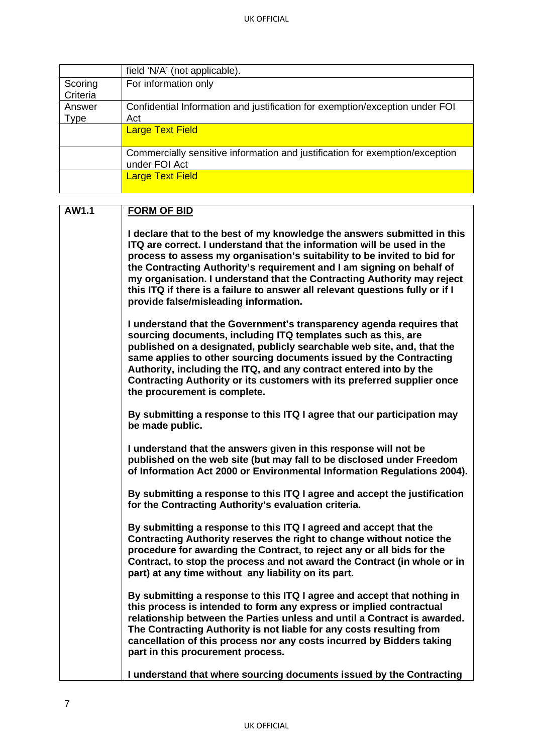|             | field 'N/A' (not applicable).                                                                 |
|-------------|-----------------------------------------------------------------------------------------------|
| Scoring     | For information only                                                                          |
| Criteria    |                                                                                               |
| Answer      | Confidential Information and justification for exemption/exception under FOI                  |
| <b>Type</b> | Act                                                                                           |
|             | <b>Large Text Field</b>                                                                       |
|             |                                                                                               |
|             | Commercially sensitive information and justification for exemption/exception<br>under FOI Act |
|             | <b>Large Text Field</b>                                                                       |

| AW1.1 | <b>FORM OF BID</b>                                                                                                                                                                                                                                                                                                                                                                                                                                                                                           |
|-------|--------------------------------------------------------------------------------------------------------------------------------------------------------------------------------------------------------------------------------------------------------------------------------------------------------------------------------------------------------------------------------------------------------------------------------------------------------------------------------------------------------------|
|       | I declare that to the best of my knowledge the answers submitted in this<br>ITQ are correct. I understand that the information will be used in the<br>process to assess my organisation's suitability to be invited to bid for<br>the Contracting Authority's requirement and I am signing on behalf of<br>my organisation. I understand that the Contracting Authority may reject<br>this ITQ if there is a failure to answer all relevant questions fully or if I<br>provide false/misleading information. |
|       | I understand that the Government's transparency agenda requires that<br>sourcing documents, including ITQ templates such as this, are<br>published on a designated, publicly searchable web site, and, that the<br>same applies to other sourcing documents issued by the Contracting<br>Authority, including the ITQ, and any contract entered into by the<br>Contracting Authority or its customers with its preferred supplier once<br>the procurement is complete.                                       |
|       | By submitting a response to this ITQ I agree that our participation may<br>be made public.                                                                                                                                                                                                                                                                                                                                                                                                                   |
|       | I understand that the answers given in this response will not be<br>published on the web site (but may fall to be disclosed under Freedom<br>of Information Act 2000 or Environmental Information Regulations 2004).                                                                                                                                                                                                                                                                                         |
|       | By submitting a response to this ITQ I agree and accept the justification<br>for the Contracting Authority's evaluation criteria.                                                                                                                                                                                                                                                                                                                                                                            |
|       | By submitting a response to this ITQ I agreed and accept that the<br>Contracting Authority reserves the right to change without notice the<br>procedure for awarding the Contract, to reject any or all bids for the<br>Contract, to stop the process and not award the Contract (in whole or in<br>part) at any time without any liability on its part.                                                                                                                                                     |
|       | By submitting a response to this ITQ I agree and accept that nothing in<br>this process is intended to form any express or implied contractual<br>relationship between the Parties unless and until a Contract is awarded.<br>The Contracting Authority is not liable for any costs resulting from<br>cancellation of this process nor any costs incurred by Bidders taking<br>part in this procurement process.                                                                                             |
|       | I understand that where sourcing documents issued by the Contracting                                                                                                                                                                                                                                                                                                                                                                                                                                         |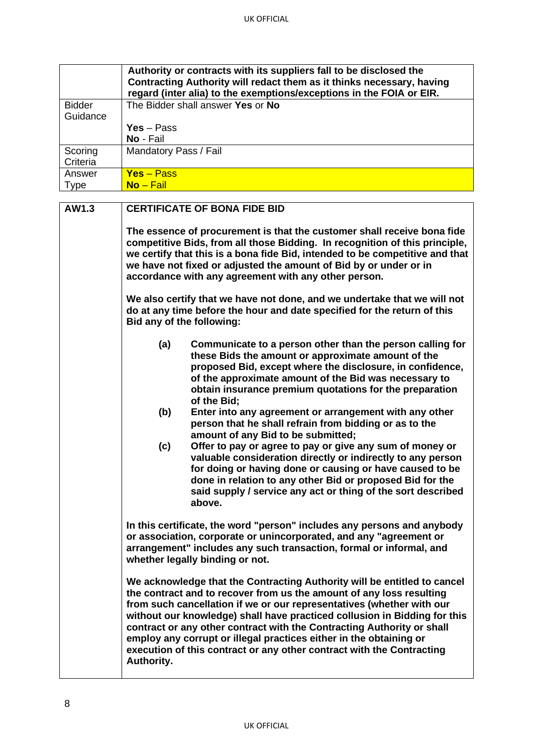|               | Authority or contracts with its suppliers fall to be disclosed the<br>Contracting Authority will redact them as it thinks necessary, having<br>regard (inter alia) to the exemptions/exceptions in the FOIA or EIR. |
|---------------|---------------------------------------------------------------------------------------------------------------------------------------------------------------------------------------------------------------------|
| <b>Bidder</b> | The Bidder shall answer Yes or No                                                                                                                                                                                   |
| Guidance      |                                                                                                                                                                                                                     |
|               | Yes – Pass                                                                                                                                                                                                          |
|               | No - Fail                                                                                                                                                                                                           |
| Scoring       | Mandatory Pass / Fail                                                                                                                                                                                               |
| Criteria      |                                                                                                                                                                                                                     |
| Answer        | <b>Yes</b> – Pass                                                                                                                                                                                                   |
| <b>Type</b>   | $No-Fail$                                                                                                                                                                                                           |

| AW1.3 | <b>CERTIFICATE OF BONA FIDE BID</b>                                                                                                                                                                                                                                                                                                                                                                                                                                                                                                           |
|-------|-----------------------------------------------------------------------------------------------------------------------------------------------------------------------------------------------------------------------------------------------------------------------------------------------------------------------------------------------------------------------------------------------------------------------------------------------------------------------------------------------------------------------------------------------|
|       | The essence of procurement is that the customer shall receive bona fide<br>competitive Bids, from all those Bidding. In recognition of this principle,<br>we certify that this is a bona fide Bid, intended to be competitive and that<br>we have not fixed or adjusted the amount of Bid by or under or in<br>accordance with any agreement with any other person.                                                                                                                                                                           |
|       | We also certify that we have not done, and we undertake that we will not<br>do at any time before the hour and date specified for the return of this<br>Bid any of the following:                                                                                                                                                                                                                                                                                                                                                             |
|       | (a)<br>Communicate to a person other than the person calling for<br>these Bids the amount or approximate amount of the<br>proposed Bid, except where the disclosure, in confidence,<br>of the approximate amount of the Bid was necessary to<br>obtain insurance premium quotations for the preparation<br>of the Bid;                                                                                                                                                                                                                        |
|       | (b)<br>Enter into any agreement or arrangement with any other<br>person that he shall refrain from bidding or as to the<br>amount of any Bid to be submitted;                                                                                                                                                                                                                                                                                                                                                                                 |
|       | Offer to pay or agree to pay or give any sum of money or<br>(c)<br>valuable consideration directly or indirectly to any person<br>for doing or having done or causing or have caused to be<br>done in relation to any other Bid or proposed Bid for the<br>said supply / service any act or thing of the sort described<br>above.                                                                                                                                                                                                             |
|       | In this certificate, the word "person" includes any persons and anybody<br>or association, corporate or unincorporated, and any "agreement or<br>arrangement" includes any such transaction, formal or informal, and<br>whether legally binding or not.                                                                                                                                                                                                                                                                                       |
|       | We acknowledge that the Contracting Authority will be entitled to cancel<br>the contract and to recover from us the amount of any loss resulting<br>from such cancellation if we or our representatives (whether with our<br>without our knowledge) shall have practiced collusion in Bidding for this<br>contract or any other contract with the Contracting Authority or shall<br>employ any corrupt or illegal practices either in the obtaining or<br>execution of this contract or any other contract with the Contracting<br>Authority. |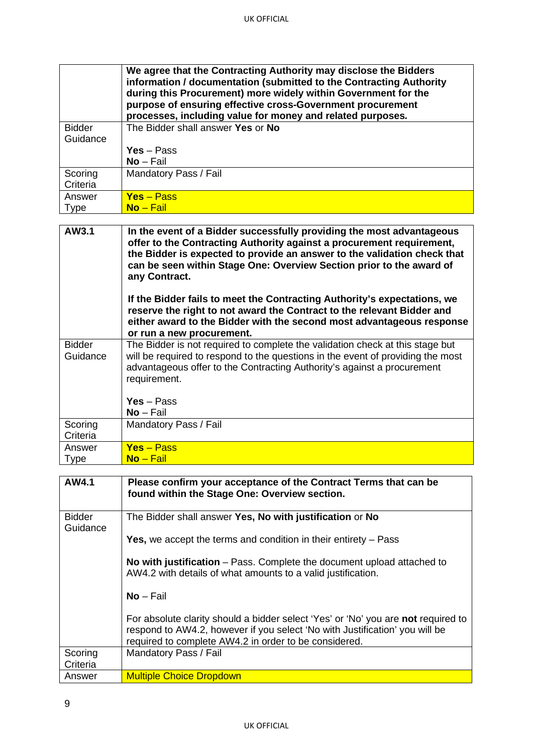|               | We agree that the Contracting Authority may disclose the Bidders<br>information / documentation (submitted to the Contracting Authority<br>during this Procurement) more widely within Government for the<br>purpose of ensuring effective cross-Government procurement<br>processes, including value for money and related purposes. |
|---------------|---------------------------------------------------------------------------------------------------------------------------------------------------------------------------------------------------------------------------------------------------------------------------------------------------------------------------------------|
| <b>Bidder</b> | The Bidder shall answer Yes or No                                                                                                                                                                                                                                                                                                     |
| Guidance      |                                                                                                                                                                                                                                                                                                                                       |
|               | $Yes - Pass$                                                                                                                                                                                                                                                                                                                          |
|               | $No-Fail$                                                                                                                                                                                                                                                                                                                             |
| Scoring       | Mandatory Pass / Fail                                                                                                                                                                                                                                                                                                                 |
| Criteria      |                                                                                                                                                                                                                                                                                                                                       |
| Answer        | Yes - Pass                                                                                                                                                                                                                                                                                                                            |
| <b>Type</b>   | $No-Fail$                                                                                                                                                                                                                                                                                                                             |

| AW3.1                     | In the event of a Bidder successfully providing the most advantageous<br>offer to the Contracting Authority against a procurement requirement,<br>the Bidder is expected to provide an answer to the validation check that<br>can be seen within Stage One: Overview Section prior to the award of<br>any Contract.<br>If the Bidder fails to meet the Contracting Authority's expectations, we<br>reserve the right to not award the Contract to the relevant Bidder and<br>either award to the Bidder with the second most advantageous response<br>or run a new procurement. |
|---------------------------|---------------------------------------------------------------------------------------------------------------------------------------------------------------------------------------------------------------------------------------------------------------------------------------------------------------------------------------------------------------------------------------------------------------------------------------------------------------------------------------------------------------------------------------------------------------------------------|
| <b>Bidder</b><br>Guidance | The Bidder is not required to complete the validation check at this stage but<br>will be required to respond to the questions in the event of providing the most<br>advantageous offer to the Contracting Authority's against a procurement<br>requirement.<br>$Yes - Pass$<br>$No-Fail$                                                                                                                                                                                                                                                                                        |
| Scoring<br>Criteria       | Mandatory Pass / Fail                                                                                                                                                                                                                                                                                                                                                                                                                                                                                                                                                           |
| Answer                    | $Yes - Pass$                                                                                                                                                                                                                                                                                                                                                                                                                                                                                                                                                                    |
| <b>Type</b>               | $No-Fail$                                                                                                                                                                                                                                                                                                                                                                                                                                                                                                                                                                       |

| AW4.1                     | Please confirm your acceptance of the Contract Terms that can be<br>found within the Stage One: Overview section.                                                                                                         |
|---------------------------|---------------------------------------------------------------------------------------------------------------------------------------------------------------------------------------------------------------------------|
| <b>Bidder</b><br>Guidance | The Bidder shall answer Yes, No with justification or No                                                                                                                                                                  |
|                           | <b>Yes,</b> we accept the terms and condition in their entirety $-$ Pass                                                                                                                                                  |
|                           | No with justification – Pass. Complete the document upload attached to<br>AW4.2 with details of what amounts to a valid justification.                                                                                    |
|                           | $No-Fail$                                                                                                                                                                                                                 |
|                           | For absolute clarity should a bidder select 'Yes' or 'No' you are not required to<br>respond to AW4.2, however if you select 'No with Justification' you will be<br>required to complete AW4.2 in order to be considered. |
| Scoring<br>Criteria       | Mandatory Pass / Fail                                                                                                                                                                                                     |
| Answer                    | <b>Multiple Choice Dropdown</b>                                                                                                                                                                                           |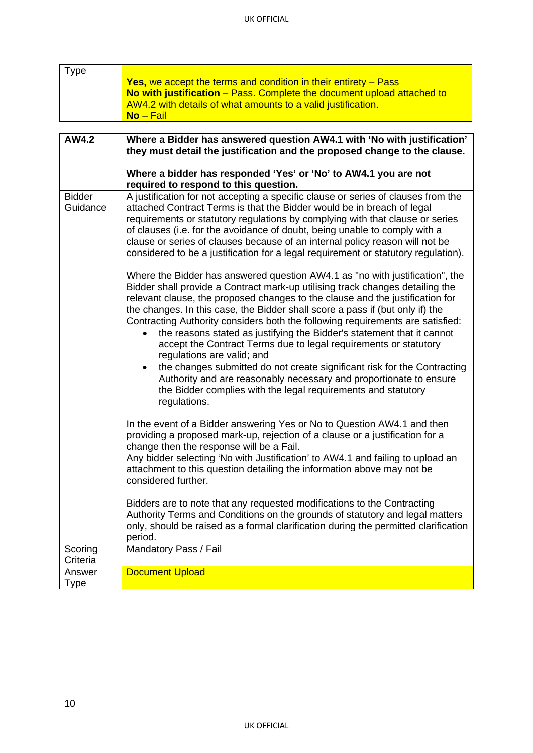| Type                      | <b>Yes, we accept the terms and condition in their entirety – Pass</b><br>No with justification - Pass. Complete the document upload attached to<br>AW4.2 with details of what amounts to a valid justification.<br>No – Fail                                                                                                                                                                                                                                                                                                                                                                                                                                                                                                                                                                                                    |
|---------------------------|----------------------------------------------------------------------------------------------------------------------------------------------------------------------------------------------------------------------------------------------------------------------------------------------------------------------------------------------------------------------------------------------------------------------------------------------------------------------------------------------------------------------------------------------------------------------------------------------------------------------------------------------------------------------------------------------------------------------------------------------------------------------------------------------------------------------------------|
| AW4.2                     | Where a Bidder has answered question AW4.1 with 'No with justification'<br>they must detail the justification and the proposed change to the clause.                                                                                                                                                                                                                                                                                                                                                                                                                                                                                                                                                                                                                                                                             |
|                           | Where a bidder has responded 'Yes' or 'No' to AW4.1 you are not<br>required to respond to this question.                                                                                                                                                                                                                                                                                                                                                                                                                                                                                                                                                                                                                                                                                                                         |
| <b>Bidder</b><br>Guidance | A justification for not accepting a specific clause or series of clauses from the<br>attached Contract Terms is that the Bidder would be in breach of legal<br>requirements or statutory regulations by complying with that clause or series<br>of clauses (i.e. for the avoidance of doubt, being unable to comply with a<br>clause or series of clauses because of an internal policy reason will not be<br>considered to be a justification for a legal requirement or statutory regulation).                                                                                                                                                                                                                                                                                                                                 |
|                           | Where the Bidder has answered question AW4.1 as "no with justification", the<br>Bidder shall provide a Contract mark-up utilising track changes detailing the<br>relevant clause, the proposed changes to the clause and the justification for<br>the changes. In this case, the Bidder shall score a pass if (but only if) the<br>Contracting Authority considers both the following requirements are satisfied:<br>the reasons stated as justifying the Bidder's statement that it cannot<br>accept the Contract Terms due to legal requirements or statutory<br>regulations are valid; and<br>the changes submitted do not create significant risk for the Contracting<br>Authority and are reasonably necessary and proportionate to ensure<br>the Bidder complies with the legal requirements and statutory<br>regulations. |
|                           | In the event of a Bidder answering Yes or No to Question AW4.1 and then<br>providing a proposed mark-up, rejection of a clause or a justification for a<br>change then the response will be a Fail.<br>Any bidder selecting 'No with Justification' to AW4.1 and failing to upload an<br>attachment to this question detailing the information above may not be<br>considered further.                                                                                                                                                                                                                                                                                                                                                                                                                                           |
|                           | Bidders are to note that any requested modifications to the Contracting<br>Authority Terms and Conditions on the grounds of statutory and legal matters<br>only, should be raised as a formal clarification during the permitted clarification<br>period.                                                                                                                                                                                                                                                                                                                                                                                                                                                                                                                                                                        |
| Scoring<br>Criteria       | Mandatory Pass / Fail                                                                                                                                                                                                                                                                                                                                                                                                                                                                                                                                                                                                                                                                                                                                                                                                            |
| Answer<br>Type            | <b>Document Upload</b>                                                                                                                                                                                                                                                                                                                                                                                                                                                                                                                                                                                                                                                                                                                                                                                                           |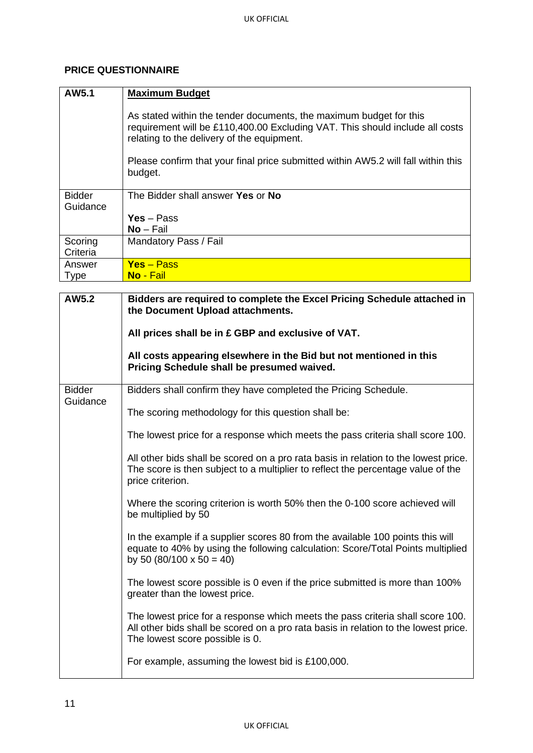#### **PRICE QUESTIONNAIRE**

| AW5.1         | <b>Maximum Budget</b>                                                                                                                                                                            |
|---------------|--------------------------------------------------------------------------------------------------------------------------------------------------------------------------------------------------|
|               | As stated within the tender documents, the maximum budget for this<br>requirement will be £110,400.00 Excluding VAT. This should include all costs<br>relating to the delivery of the equipment. |
|               | Please confirm that your final price submitted within AW5.2 will fall within this<br>budget.                                                                                                     |
| <b>Bidder</b> | The Bidder shall answer Yes or No                                                                                                                                                                |
| Guidance      | Yes – Pass                                                                                                                                                                                       |
|               | $No-Fail$                                                                                                                                                                                        |
| Scoring       | Mandatory Pass / Fail                                                                                                                                                                            |
| Criteria      |                                                                                                                                                                                                  |
| Answer        | Yes - Pass                                                                                                                                                                                       |
| <b>Type</b>   | No - Fail                                                                                                                                                                                        |
|               |                                                                                                                                                                                                  |

| <b>AW5.2</b>              | Bidders are required to complete the Excel Pricing Schedule attached in<br>the Document Upload attachments.                                                                                              |
|---------------------------|----------------------------------------------------------------------------------------------------------------------------------------------------------------------------------------------------------|
|                           | All prices shall be in £ GBP and exclusive of VAT.                                                                                                                                                       |
|                           | All costs appearing elsewhere in the Bid but not mentioned in this<br>Pricing Schedule shall be presumed waived.                                                                                         |
| <b>Bidder</b><br>Guidance | Bidders shall confirm they have completed the Pricing Schedule.                                                                                                                                          |
|                           | The scoring methodology for this question shall be:                                                                                                                                                      |
|                           | The lowest price for a response which meets the pass criteria shall score 100.                                                                                                                           |
|                           | All other bids shall be scored on a pro rata basis in relation to the lowest price.<br>The score is then subject to a multiplier to reflect the percentage value of the<br>price criterion.              |
|                           | Where the scoring criterion is worth 50% then the 0-100 score achieved will<br>be multiplied by 50                                                                                                       |
|                           | In the example if a supplier scores 80 from the available 100 points this will<br>equate to 40% by using the following calculation: Score/Total Points multiplied<br>by 50 $(80/100 \times 50 = 40)$     |
|                           | The lowest score possible is 0 even if the price submitted is more than 100%<br>greater than the lowest price.                                                                                           |
|                           | The lowest price for a response which meets the pass criteria shall score 100.<br>All other bids shall be scored on a pro rata basis in relation to the lowest price.<br>The lowest score possible is 0. |
|                           | For example, assuming the lowest bid is £100,000.                                                                                                                                                        |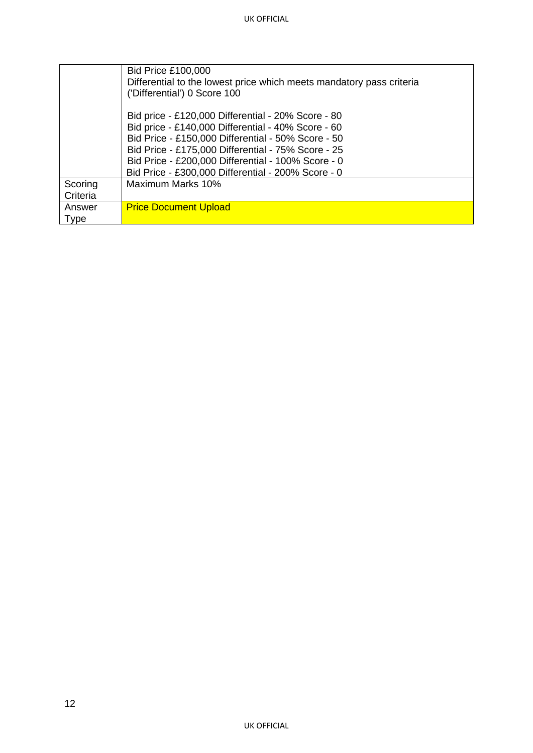|          | <b>Bid Price £100,000</b>                                            |
|----------|----------------------------------------------------------------------|
|          | Differential to the lowest price which meets mandatory pass criteria |
|          | ('Differential') 0 Score 100                                         |
|          |                                                                      |
|          | Bid price - £120,000 Differential - 20% Score - 80                   |
|          | Bid price - £140,000 Differential - 40% Score - 60                   |
|          | Bid Price - £150,000 Differential - 50% Score - 50                   |
|          | Bid Price - £175,000 Differential - 75% Score - 25                   |
|          | Bid Price - £200,000 Differential - 100% Score - 0                   |
|          | Bid Price - £300,000 Differential - 200% Score - 0                   |
| Scoring  | Maximum Marks 10%                                                    |
| Criteria |                                                                      |
| Answer   | <b>Price Document Upload</b>                                         |
| Type     |                                                                      |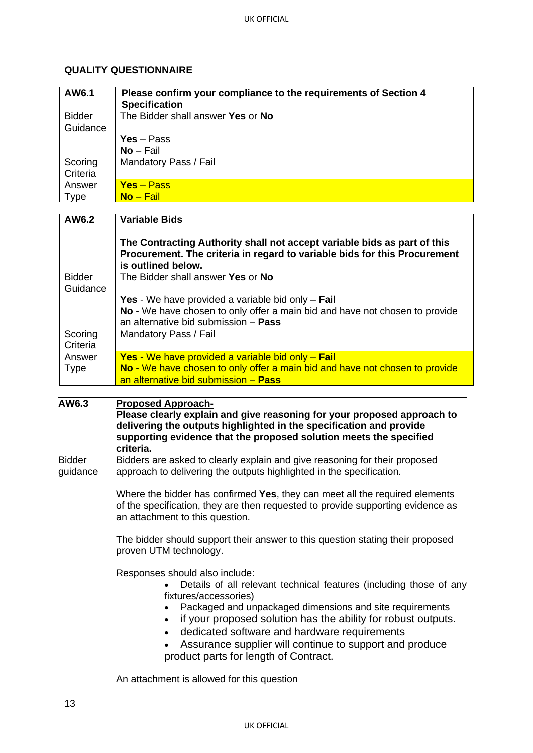#### **QUALITY QUESTIONNAIRE**

| AW6.1                     | Please confirm your compliance to the requirements of Section 4<br><b>Specification</b> |
|---------------------------|-----------------------------------------------------------------------------------------|
| <b>Bidder</b><br>Guidance | The Bidder shall answer Yes or No                                                       |
|                           | Yes - Pass                                                                              |
|                           | $No-Fail$                                                                               |
| Scoring                   | Mandatory Pass / Fail                                                                   |
| Criteria                  |                                                                                         |
| Answer                    | Yes – Pass                                                                              |
| Type                      | $No-Fail$                                                                               |

| AW6.2         | <b>Variable Bids</b>                                                                                                                                                        |
|---------------|-----------------------------------------------------------------------------------------------------------------------------------------------------------------------------|
|               | The Contracting Authority shall not accept variable bids as part of this<br>Procurement. The criteria in regard to variable bids for this Procurement<br>is outlined below. |
| <b>Bidder</b> | The Bidder shall answer Yes or No                                                                                                                                           |
| Guidance      |                                                                                                                                                                             |
|               | Yes - We have provided a variable bid only $-$ Fail                                                                                                                         |
|               | No - We have chosen to only offer a main bid and have not chosen to provide<br>an alternative bid submission - Pass                                                         |
| Scoring       | Mandatory Pass / Fail                                                                                                                                                       |
| Criteria      |                                                                                                                                                                             |
| Answer        | Yes - We have provided a variable bid only – Fail                                                                                                                           |
| <b>Type</b>   | No - We have chosen to only offer a main bid and have not chosen to provide                                                                                                 |
|               | an alternative bid submission - Pass                                                                                                                                        |

| AW6.3                     | <b>Proposed Approach-</b><br>Please clearly explain and give reasoning for your proposed approach to<br>delivering the outputs highlighted in the specification and provide<br>supporting evidence that the proposed solution meets the specified<br>criteria.                                                                                                                                                              |
|---------------------------|-----------------------------------------------------------------------------------------------------------------------------------------------------------------------------------------------------------------------------------------------------------------------------------------------------------------------------------------------------------------------------------------------------------------------------|
| <b>Bidder</b><br>guidance | Bidders are asked to clearly explain and give reasoning for their proposed<br>approach to delivering the outputs highlighted in the specification.                                                                                                                                                                                                                                                                          |
|                           | Where the bidder has confirmed Yes, they can meet all the required elements<br>of the specification, they are then requested to provide supporting evidence as<br>an attachment to this question.                                                                                                                                                                                                                           |
|                           | The bidder should support their answer to this question stating their proposed<br>proven UTM technology.                                                                                                                                                                                                                                                                                                                    |
|                           | Responses should also include:<br>Details of all relevant technical features (including those of any<br>fixtures/accessories)<br>Packaged and unpackaged dimensions and site requirements<br>if your proposed solution has the ability for robust outputs.<br>$\bullet$<br>dedicated software and hardware requirements<br>Assurance supplier will continue to support and produce<br>product parts for length of Contract. |
|                           | An attachment is allowed for this question                                                                                                                                                                                                                                                                                                                                                                                  |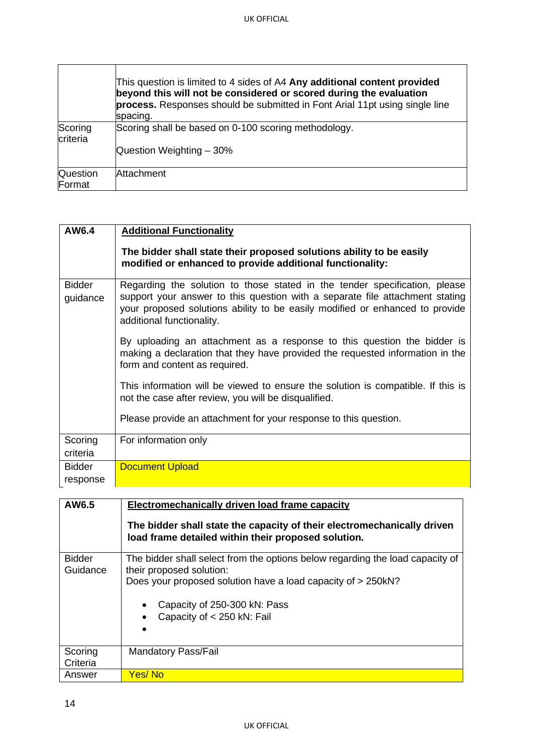|                           | This question is limited to 4 sides of A4 Any additional content provided<br>beyond this will not be considered or scored during the evaluation<br>process. Responses should be submitted in Font Arial 11pt using single line<br>spacing. |
|---------------------------|--------------------------------------------------------------------------------------------------------------------------------------------------------------------------------------------------------------------------------------------|
| Scoring<br>criteria       | Scoring shall be based on 0-100 scoring methodology.                                                                                                                                                                                       |
|                           | Question Weighting - 30%                                                                                                                                                                                                                   |
| <b>Question</b><br>Format | lAttachment                                                                                                                                                                                                                                |

| AW6.4                     | <b>Additional Functionality</b>                                                                                                                                                                                                                                         |
|---------------------------|-------------------------------------------------------------------------------------------------------------------------------------------------------------------------------------------------------------------------------------------------------------------------|
|                           | The bidder shall state their proposed solutions ability to be easily<br>modified or enhanced to provide additional functionality:                                                                                                                                       |
| <b>Bidder</b><br>guidance | Regarding the solution to those stated in the tender specification, please<br>support your answer to this question with a separate file attachment stating<br>your proposed solutions ability to be easily modified or enhanced to provide<br>additional functionality. |
|                           | By uploading an attachment as a response to this question the bidder is<br>making a declaration that they have provided the requested information in the<br>form and content as required.                                                                               |
|                           | This information will be viewed to ensure the solution is compatible. If this is<br>not the case after review, you will be disqualified.                                                                                                                                |
|                           | Please provide an attachment for your response to this question.                                                                                                                                                                                                        |
| Scoring                   | For information only                                                                                                                                                                                                                                                    |
| criteria                  |                                                                                                                                                                                                                                                                         |
| <b>Bidder</b>             | <b>Document Upload</b>                                                                                                                                                                                                                                                  |
| response                  |                                                                                                                                                                                                                                                                         |

| AW6.5                     | Electromechanically driven load frame capacity                                                                                                                                                                                                       |  |
|---------------------------|------------------------------------------------------------------------------------------------------------------------------------------------------------------------------------------------------------------------------------------------------|--|
|                           | The bidder shall state the capacity of their electromechanically driven<br>load frame detailed within their proposed solution.                                                                                                                       |  |
| <b>Bidder</b><br>Guidance | The bidder shall select from the options below regarding the load capacity of<br>their proposed solution:<br>Does your proposed solution have a load capacity of > 250kN?<br>Capacity of 250-300 kN: Pass<br>$\bullet$<br>Capacity of < 250 kN: Fail |  |
| Scoring<br>Criteria       | <b>Mandatory Pass/Fail</b>                                                                                                                                                                                                                           |  |
| Answer                    | Yes/No                                                                                                                                                                                                                                               |  |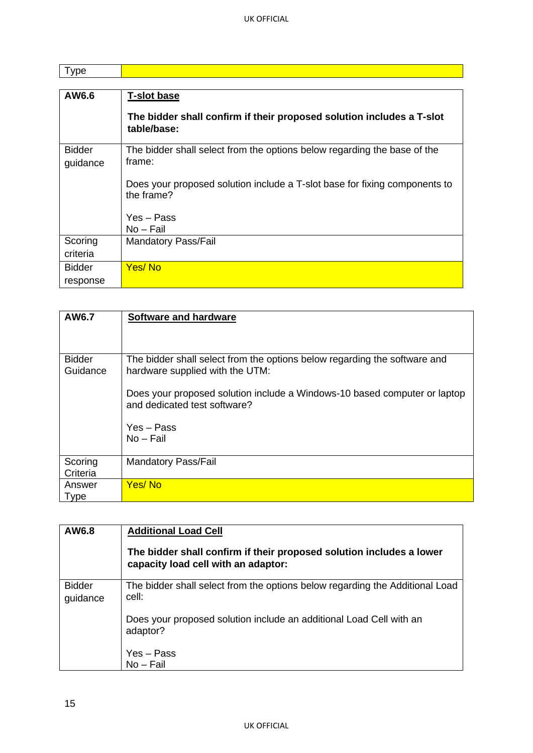| AW6.6                     | <b>T-slot base</b>                                                                       |
|---------------------------|------------------------------------------------------------------------------------------|
|                           | The bidder shall confirm if their proposed solution includes a T-slot<br>table/base:     |
| <b>Bidder</b><br>guidance | The bidder shall select from the options below regarding the base of the<br>frame:       |
|                           | Does your proposed solution include a T-slot base for fixing components to<br>the frame? |
|                           | Yes - Pass                                                                               |
|                           | $No-Fail$                                                                                |
| Scoring                   | <b>Mandatory Pass/Fail</b>                                                               |
| criteria                  |                                                                                          |
| <b>Bidder</b>             | Yes/No                                                                                   |
| response                  |                                                                                          |

| AW6.7                     | <b>Software and hardware</b>                                                                                 |
|---------------------------|--------------------------------------------------------------------------------------------------------------|
|                           |                                                                                                              |
| <b>Bidder</b><br>Guidance | The bidder shall select from the options below regarding the software and<br>hardware supplied with the UTM: |
|                           | Does your proposed solution include a Windows-10 based computer or laptop<br>and dedicated test software?    |
|                           | Yes - Pass                                                                                                   |
|                           | $No-Fail$                                                                                                    |
|                           |                                                                                                              |
| Scoring<br>Criteria       | <b>Mandatory Pass/Fail</b>                                                                                   |
| Answer                    | Yes/No                                                                                                       |
| <b>Type</b>               |                                                                                                              |

| AW6.8                     | <b>Additional Load Cell</b>                                                                                 |
|---------------------------|-------------------------------------------------------------------------------------------------------------|
|                           | The bidder shall confirm if their proposed solution includes a lower<br>capacity load cell with an adaptor: |
| <b>Bidder</b><br>guidance | The bidder shall select from the options below regarding the Additional Load<br>cell:                       |
|                           | Does your proposed solution include an additional Load Cell with an<br>adaptor?                             |
|                           | Yes – Pass<br>No – Fail                                                                                     |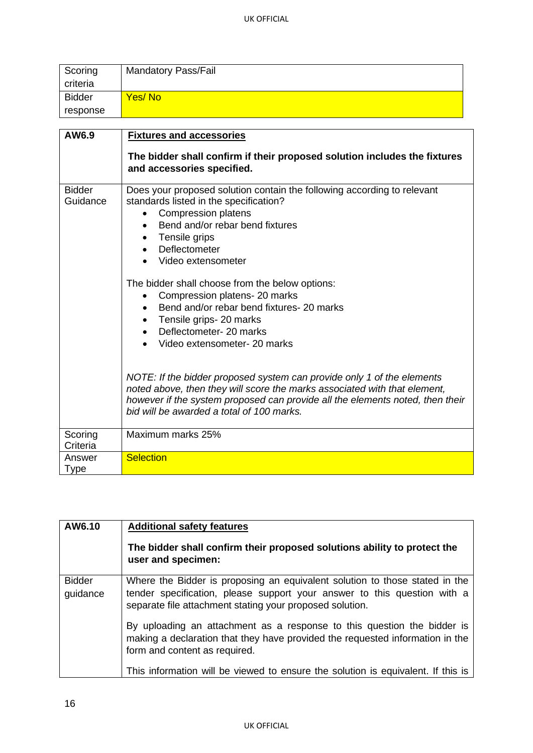| Scoring       | <b>Mandatory Pass/Fail</b> |
|---------------|----------------------------|
| criteria      |                            |
| <b>Bidder</b> | Yes/No                     |
| response      |                            |

| AW6.9                     | <b>Fixtures and accessories</b>                                                                                                                                                                                                                                                                                                                                                                                                                                                                                                                                                                                                                                                                                                                                                                     |
|---------------------------|-----------------------------------------------------------------------------------------------------------------------------------------------------------------------------------------------------------------------------------------------------------------------------------------------------------------------------------------------------------------------------------------------------------------------------------------------------------------------------------------------------------------------------------------------------------------------------------------------------------------------------------------------------------------------------------------------------------------------------------------------------------------------------------------------------|
|                           | The bidder shall confirm if their proposed solution includes the fixtures<br>and accessories specified.                                                                                                                                                                                                                                                                                                                                                                                                                                                                                                                                                                                                                                                                                             |
| <b>Bidder</b><br>Guidance | Does your proposed solution contain the following according to relevant<br>standards listed in the specification?<br>Compression platens<br>Bend and/or rebar bend fixtures<br>$\bullet$<br>Tensile grips<br>$\bullet$<br>Deflectometer<br>Video extensometer<br>The bidder shall choose from the below options:<br>Compression platens- 20 marks<br>Bend and/or rebar bend fixtures- 20 marks<br>$\bullet$<br>Tensile grips- 20 marks<br>$\bullet$<br>Deflectometer- 20 marks<br>Video extensometer- 20 marks<br>NOTE: If the bidder proposed system can provide only 1 of the elements<br>noted above, then they will score the marks associated with that element,<br>however if the system proposed can provide all the elements noted, then their<br>bid will be awarded a total of 100 marks. |
| Scoring<br>Criteria       | Maximum marks 25%                                                                                                                                                                                                                                                                                                                                                                                                                                                                                                                                                                                                                                                                                                                                                                                   |
| Answer                    | <b>Selection</b>                                                                                                                                                                                                                                                                                                                                                                                                                                                                                                                                                                                                                                                                                                                                                                                    |
| <b>Type</b>               |                                                                                                                                                                                                                                                                                                                                                                                                                                                                                                                                                                                                                                                                                                                                                                                                     |

| AW6.10                    | <b>Additional safety features</b><br>The bidder shall confirm their proposed solutions ability to protect the<br>user and specimen:                                                                                 |
|---------------------------|---------------------------------------------------------------------------------------------------------------------------------------------------------------------------------------------------------------------|
| <b>Bidder</b><br>guidance | Where the Bidder is proposing an equivalent solution to those stated in the<br>tender specification, please support your answer to this question with a<br>separate file attachment stating your proposed solution. |
|                           | By uploading an attachment as a response to this question the bidder is<br>making a declaration that they have provided the requested information in the<br>form and content as required.                           |
|                           | This information will be viewed to ensure the solution is equivalent. If this is                                                                                                                                    |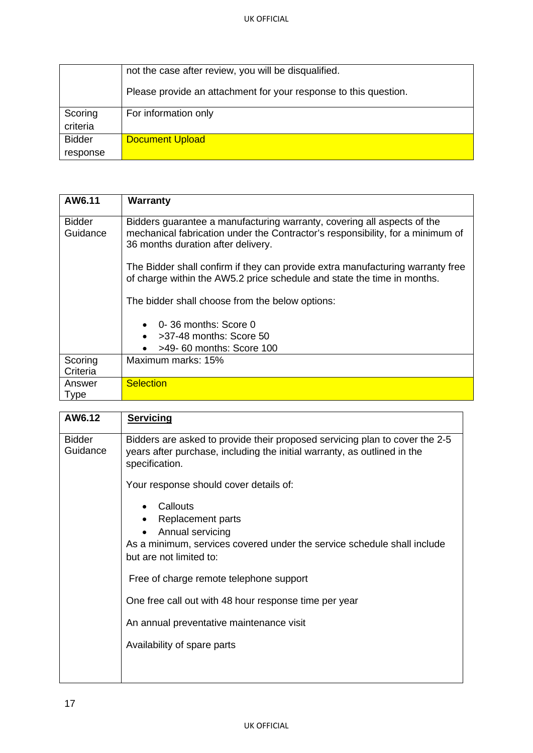|                     | not the case after review, you will be disqualified.             |
|---------------------|------------------------------------------------------------------|
|                     | Please provide an attachment for your response to this question. |
| Scoring<br>criteria | For information only                                             |
| <b>Bidder</b>       | <b>Document Upload</b>                                           |
| response            |                                                                  |

| AW6.11                    | <b>Warranty</b>                                                                                                                                                                                 |
|---------------------------|-------------------------------------------------------------------------------------------------------------------------------------------------------------------------------------------------|
| <b>Bidder</b><br>Guidance | Bidders guarantee a manufacturing warranty, covering all aspects of the<br>mechanical fabrication under the Contractor's responsibility, for a minimum of<br>36 months duration after delivery. |
|                           | The Bidder shall confirm if they can provide extra manufacturing warranty free<br>of charge within the AW5.2 price schedule and state the time in months.                                       |
|                           | The bidder shall choose from the below options:                                                                                                                                                 |
|                           | 0-36 months: Score 0                                                                                                                                                                            |
|                           | $>37-48$ months: Score 50                                                                                                                                                                       |
|                           | >49-60 months: Score 100                                                                                                                                                                        |
| Scoring                   | Maximum marks: 15%                                                                                                                                                                              |
| Criteria                  |                                                                                                                                                                                                 |
| Answer                    | <b>Selection</b>                                                                                                                                                                                |
| <b>Type</b>               |                                                                                                                                                                                                 |

| AW6.12                    | <b>Servicing</b>                                                                                                                                                          |
|---------------------------|---------------------------------------------------------------------------------------------------------------------------------------------------------------------------|
| <b>Bidder</b><br>Guidance | Bidders are asked to provide their proposed servicing plan to cover the 2-5<br>years after purchase, including the initial warranty, as outlined in the<br>specification. |
|                           | Your response should cover details of:                                                                                                                                    |
|                           | Callouts<br>Replacement parts<br>Annual servicing<br>As a minimum, services covered under the service schedule shall include<br>but are not limited to:                   |
|                           | Free of charge remote telephone support                                                                                                                                   |
|                           | One free call out with 48 hour response time per year                                                                                                                     |
|                           | An annual preventative maintenance visit                                                                                                                                  |
|                           | Availability of spare parts                                                                                                                                               |
|                           |                                                                                                                                                                           |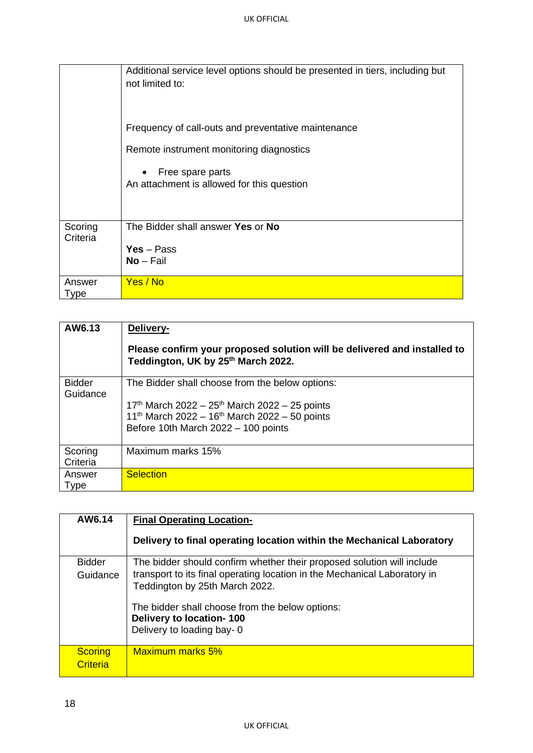|                       | Additional service level options should be presented in tiers, including but<br>not limited to: |
|-----------------------|-------------------------------------------------------------------------------------------------|
|                       | Frequency of call-outs and preventative maintenance                                             |
|                       | Remote instrument monitoring diagnostics                                                        |
|                       | Free spare parts<br>$\bullet$<br>An attachment is allowed for this question                     |
| Scoring<br>Criteria   | The Bidder shall answer Yes or No                                                               |
|                       | $Yes - Pass$<br>$No-Fail$                                                                       |
| Answer<br><b>Type</b> | Yes / No                                                                                        |

| AW6.13                    | Delivery-                                                                                                      |
|---------------------------|----------------------------------------------------------------------------------------------------------------|
|                           | Please confirm your proposed solution will be delivered and installed to<br>Teddington, UK by 25th March 2022. |
| <b>Bidder</b><br>Guidance | The Bidder shall choose from the below options:                                                                |
|                           | $17th$ March 2022 – 25 <sup>th</sup> March 2022 – 25 points                                                    |
|                           | 11 <sup>th</sup> March 2022 - 16 <sup>th</sup> March 2022 - 50 points                                          |
|                           | Before 10th March 2022 - 100 points                                                                            |
| Scoring<br>Criteria       | Maximum marks 15%                                                                                              |
| Answer                    | <b>Selection</b>                                                                                               |
| <b>Type</b>               |                                                                                                                |

| AW6.14                     | <b>Final Operating Location-</b>                                                                                                                                                      |
|----------------------------|---------------------------------------------------------------------------------------------------------------------------------------------------------------------------------------|
|                            | Delivery to final operating location within the Mechanical Laboratory                                                                                                                 |
| <b>Bidder</b><br>Guidance  | The bidder should confirm whether their proposed solution will include<br>transport to its final operating location in the Mechanical Laboratory in<br>Teddington by 25th March 2022. |
|                            | The bidder shall choose from the below options:<br><b>Delivery to location-100</b><br>Delivery to loading bay-0                                                                       |
| <b>Scoring</b><br>Criteria | Maximum marks 5%                                                                                                                                                                      |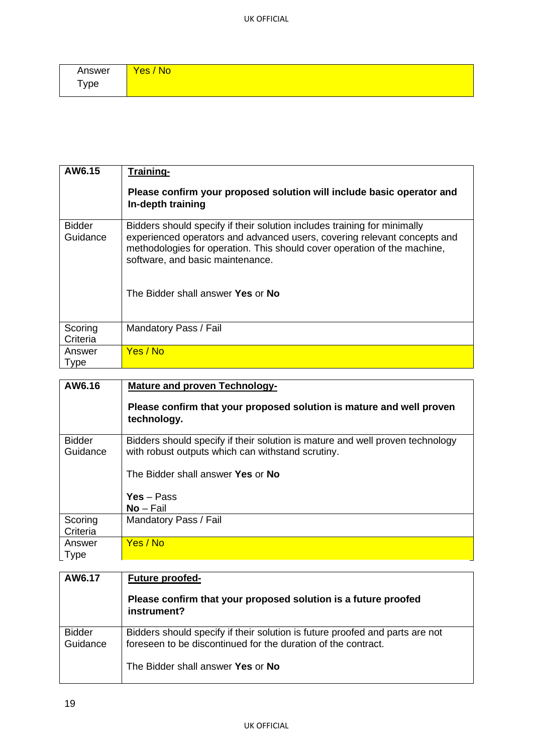UK OFFICIAL

| Answer | <b>No</b><br>$\mathbf{r}$<br>$\overline{\text{es}}$ |
|--------|-----------------------------------------------------|
| ype    |                                                     |

| AW6.15                    | Training-                                                                                                                                                                                                                                                                                                 |
|---------------------------|-----------------------------------------------------------------------------------------------------------------------------------------------------------------------------------------------------------------------------------------------------------------------------------------------------------|
|                           | Please confirm your proposed solution will include basic operator and<br>In-depth training                                                                                                                                                                                                                |
| <b>Bidder</b><br>Guidance | Bidders should specify if their solution includes training for minimally<br>experienced operators and advanced users, covering relevant concepts and<br>methodologies for operation. This should cover operation of the machine,<br>software, and basic maintenance.<br>The Bidder shall answer Yes or No |
| Scoring<br>Criteria       | Mandatory Pass / Fail                                                                                                                                                                                                                                                                                     |
| Answer                    | Yes / No                                                                                                                                                                                                                                                                                                  |
| Type                      |                                                                                                                                                                                                                                                                                                           |

| AW6.16                    | <b>Mature and proven Technology-</b>                                                                                               |
|---------------------------|------------------------------------------------------------------------------------------------------------------------------------|
|                           | Please confirm that your proposed solution is mature and well proven<br>technology.                                                |
| <b>Bidder</b><br>Guidance | Bidders should specify if their solution is mature and well proven technology<br>with robust outputs which can withstand scrutiny. |
|                           | The Bidder shall answer Yes or No                                                                                                  |
|                           | $Yes - Pass$                                                                                                                       |
|                           | $No-Fail$                                                                                                                          |
| Scoring<br>Criteria       | Mandatory Pass / Fail                                                                                                              |
| Answer<br><b>Type</b>     | Yes / No                                                                                                                           |

| AW6.17                    | <b>Future proofed-</b><br>Please confirm that your proposed solution is a future proofed<br>instrument?                                                                            |
|---------------------------|------------------------------------------------------------------------------------------------------------------------------------------------------------------------------------|
| <b>Bidder</b><br>Guidance | Bidders should specify if their solution is future proofed and parts are not<br>foreseen to be discontinued for the duration of the contract.<br>The Bidder shall answer Yes or No |